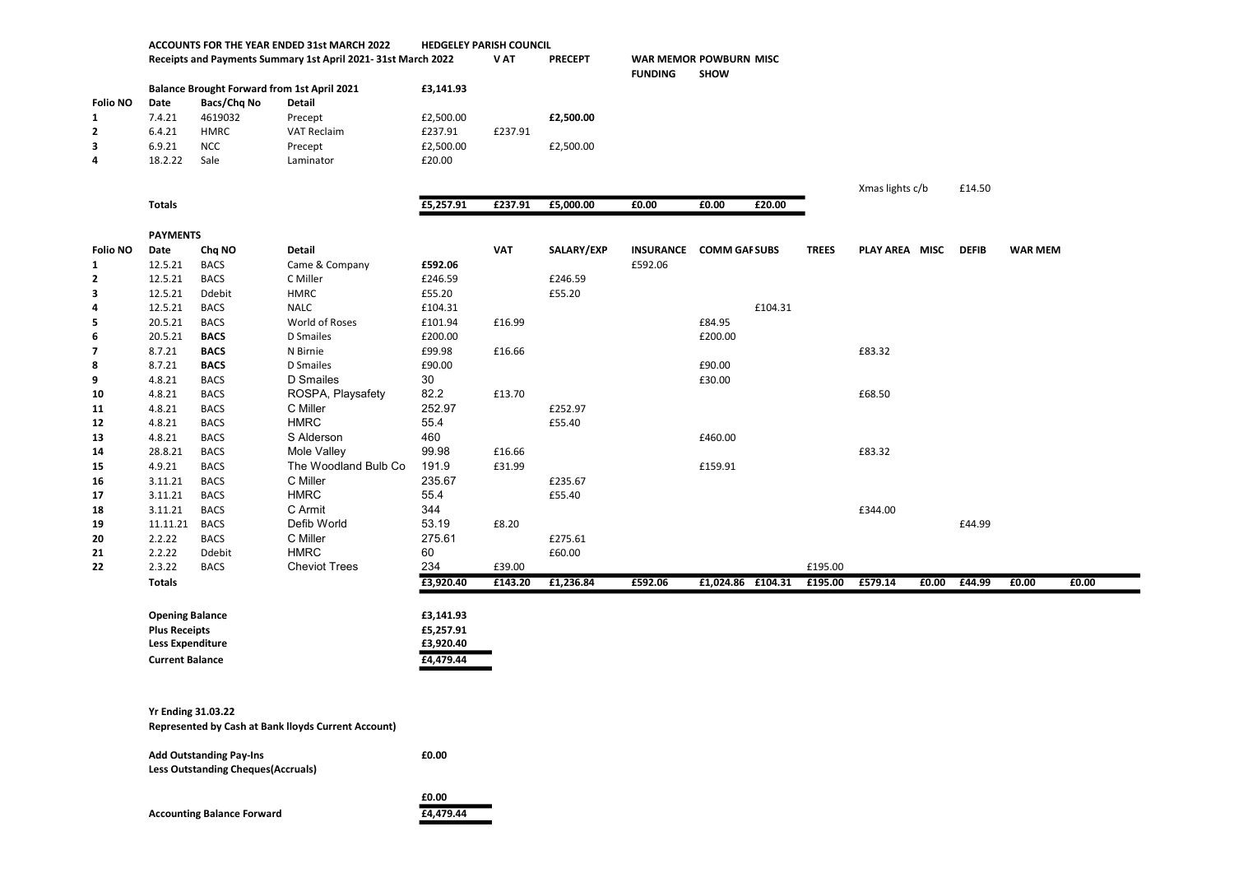|                 | ACCOUNTS FOR THE YEAR ENDED 31st MARCH 2022<br>Receipts and Payments Summary 1st April 2021-31st March 2022 |                       |                                                     | <b>HEDGELEY PARISH COUNCIL</b> |            |                |                                          |                   |         |              |                 |       |              |                |       |
|-----------------|-------------------------------------------------------------------------------------------------------------|-----------------------|-----------------------------------------------------|--------------------------------|------------|----------------|------------------------------------------|-------------------|---------|--------------|-----------------|-------|--------------|----------------|-------|
|                 |                                                                                                             |                       |                                                     |                                | V AT       | <b>PRECEPT</b> | WAR MEMOR POWBURN MISC<br><b>FUNDING</b> | <b>SHOW</b>       |         |              |                 |       |              |                |       |
|                 | <b>Balance Brought Forward from 1st April 2021</b>                                                          |                       |                                                     | £3,141.93                      |            |                |                                          |                   |         |              |                 |       |              |                |       |
| <b>Folio NO</b> | Bacs/Chq No<br>Date<br>Detail                                                                               |                       |                                                     |                                |            |                |                                          |                   |         |              |                 |       |              |                |       |
| 1               | 7.4.21                                                                                                      | 4619032               | Precept                                             | £2,500.00                      |            | £2,500.00      |                                          |                   |         |              |                 |       |              |                |       |
| $\mathbf{2}$    | 6.4.21                                                                                                      | <b>HMRC</b>           | VAT Reclaim                                         | £237.91                        | £237.91    |                |                                          |                   |         |              |                 |       |              |                |       |
| 3               | 6.9.21                                                                                                      | <b>NCC</b>            | Precept                                             | £2,500.00                      |            | £2,500.00      |                                          |                   |         |              |                 |       |              |                |       |
| 4               | 18.2.22                                                                                                     | Sale                  | Laminator                                           | £20.00                         |            |                |                                          |                   |         |              |                 |       |              |                |       |
|                 |                                                                                                             |                       |                                                     |                                |            |                |                                          |                   |         |              |                 |       |              |                |       |
|                 |                                                                                                             |                       |                                                     |                                |            |                |                                          |                   |         |              | Xmas lights c/b |       | £14.50       |                |       |
|                 | <b>Totals</b>                                                                                               |                       |                                                     | £5,257.91                      | £237.91    | £5,000.00      | £0.00                                    | £0.00             | £20.00  |              |                 |       |              |                |       |
|                 |                                                                                                             |                       |                                                     |                                |            |                |                                          |                   |         |              |                 |       |              |                |       |
|                 | <b>PAYMENTS</b>                                                                                             |                       |                                                     |                                |            |                |                                          |                   |         |              |                 |       |              |                |       |
| <b>Folio NO</b> | Date                                                                                                        | Chq NO                | <b>Detail</b>                                       |                                | <b>VAT</b> | SALARY/EXP     | INSURANCE COMM GAI SUBS                  |                   |         | <b>TREES</b> | PLAY AREA MISC  |       | <b>DEFIB</b> | <b>WAR MEM</b> |       |
| 1               | 12.5.21                                                                                                     | <b>BACS</b>           | Came & Company                                      | £592.06                        |            |                | £592.06                                  |                   |         |              |                 |       |              |                |       |
| $\overline{2}$  | 12.5.21                                                                                                     | <b>BACS</b>           | C Miller                                            | £246.59                        |            | £246.59        |                                          |                   |         |              |                 |       |              |                |       |
| 3               | 12.5.21                                                                                                     | Ddebit                | <b>HMRC</b>                                         | £55.20                         |            | £55.20         |                                          |                   |         |              |                 |       |              |                |       |
| 4               | 12.5.21                                                                                                     | <b>BACS</b>           | <b>NALC</b>                                         | £104.31                        |            |                |                                          |                   | £104.31 |              |                 |       |              |                |       |
| 5               | 20.5.21                                                                                                     | <b>BACS</b>           | World of Roses                                      | £101.94                        | £16.99     |                |                                          | £84.95            |         |              |                 |       |              |                |       |
| 6               | 20.5.21                                                                                                     | <b>BACS</b>           | D Smailes                                           | £200.00                        |            |                |                                          | £200.00           |         |              |                 |       |              |                |       |
| $\overline{7}$  | 8.7.21                                                                                                      | <b>BACS</b>           | N Birnie                                            | £99.98                         | £16.66     |                |                                          |                   |         |              | £83.32          |       |              |                |       |
| 8               | 8.7.21                                                                                                      | <b>BACS</b>           | D Smailes                                           | £90.00                         |            |                |                                          | £90.00            |         |              |                 |       |              |                |       |
| 9               | 4.8.21                                                                                                      | <b>BACS</b>           | D Smailes                                           | 30                             |            |                |                                          | £30.00            |         |              |                 |       |              |                |       |
| 10              | 4.8.21                                                                                                      | <b>BACS</b>           | ROSPA, Playsafety                                   | 82.2                           | £13.70     |                |                                          |                   |         |              | £68.50          |       |              |                |       |
| 11              | 4.8.21                                                                                                      | <b>BACS</b>           | C Miller                                            | 252.97                         |            | £252.97        |                                          |                   |         |              |                 |       |              |                |       |
| $12$            | 4.8.21                                                                                                      | <b>BACS</b>           | <b>HMRC</b>                                         | 55.4                           |            | £55.40         |                                          |                   |         |              |                 |       |              |                |       |
| 13              | 4.8.21                                                                                                      | <b>BACS</b>           | S Alderson                                          | 460                            |            |                |                                          | £460.00           |         |              |                 |       |              |                |       |
| 14              | 28.8.21                                                                                                     | <b>BACS</b>           | Mole Valley                                         | 99.98                          | £16.66     |                |                                          |                   |         |              | £83.32          |       |              |                |       |
| 15              | 4.9.21                                                                                                      | <b>BACS</b>           | The Woodland Bulb Co                                | 191.9                          | £31.99     |                |                                          | £159.91           |         |              |                 |       |              |                |       |
| 16              | 3.11.21                                                                                                     | <b>BACS</b>           | C Miller                                            | 235.67                         |            | £235.67        |                                          |                   |         |              |                 |       |              |                |       |
| 17              | 3.11.21                                                                                                     | <b>BACS</b>           | <b>HMRC</b>                                         | 55.4                           |            | £55.40         |                                          |                   |         |              |                 |       |              |                |       |
| 18              | 3.11.21                                                                                                     | <b>BACS</b>           | C Armit                                             | 344                            |            |                |                                          |                   |         |              | £344.00         |       |              |                |       |
| 19              | 11.11.21                                                                                                    | <b>BACS</b>           | Defib World                                         | 53.19                          | £8.20      |                |                                          |                   |         |              |                 |       | £44.99       |                |       |
| 20              | 2.2.22                                                                                                      | <b>BACS</b>           | C Miller<br><b>HMRC</b>                             | 275.61                         |            | £275.61        |                                          |                   |         |              |                 |       |              |                |       |
| 21<br>22        | 2.2.22<br>2.3.22                                                                                            | Ddebit<br><b>BACS</b> | <b>Cheviot Trees</b>                                | 60<br>234                      | £39.00     | £60.00         |                                          |                   |         | £195.00      |                 |       |              |                |       |
|                 | <b>Totals</b>                                                                                               |                       |                                                     | £3,920.40                      | £143.20    | £1,236.84      | £592.06                                  | £1,024.86 £104.31 |         | £195.00      | £579.14         | £0.00 | £44.99       | £0.00          | £0.00 |
|                 |                                                                                                             |                       |                                                     |                                |            |                |                                          |                   |         |              |                 |       |              |                |       |
|                 | <b>Opening Balance</b><br><b>Plus Receipts</b><br><b>Less Expenditure</b>                                   |                       |                                                     | £3,141.93                      |            |                |                                          |                   |         |              |                 |       |              |                |       |
|                 |                                                                                                             |                       |                                                     | £5,257.91                      |            |                |                                          |                   |         |              |                 |       |              |                |       |
|                 |                                                                                                             |                       |                                                     | £3,920.40                      |            |                |                                          |                   |         |              |                 |       |              |                |       |
|                 | <b>Current Balance</b>                                                                                      |                       |                                                     | £4,479.44                      |            |                |                                          |                   |         |              |                 |       |              |                |       |
|                 |                                                                                                             |                       |                                                     |                                |            |                |                                          |                   |         |              |                 |       |              |                |       |
|                 |                                                                                                             |                       |                                                     |                                |            |                |                                          |                   |         |              |                 |       |              |                |       |
|                 | <b>Yr Ending 31.03.22</b>                                                                                   |                       |                                                     |                                |            |                |                                          |                   |         |              |                 |       |              |                |       |
|                 |                                                                                                             |                       | Represented by Cash at Bank lloyds Current Account) |                                |            |                |                                          |                   |         |              |                 |       |              |                |       |
|                 |                                                                                                             |                       |                                                     |                                |            |                |                                          |                   |         |              |                 |       |              |                |       |
|                 | <b>Add Outstanding Pay-Ins</b><br><b>Less Outstanding Cheques (Accruals)</b>                                |                       |                                                     | £0.00                          |            |                |                                          |                   |         |              |                 |       |              |                |       |
|                 |                                                                                                             |                       |                                                     |                                |            |                |                                          |                   |         |              |                 |       |              |                |       |
|                 |                                                                                                             |                       |                                                     | £0.00                          |            |                |                                          |                   |         |              |                 |       |              |                |       |

Accounting Balance Forward **E4,479.44**